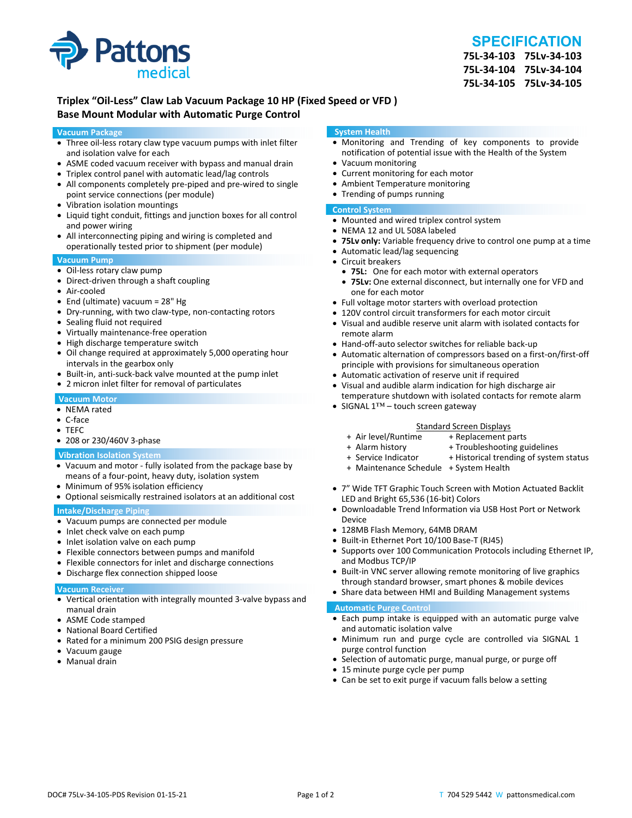

# **SPECIFICATION**

**75L‐34‐103 75Lv‐34‐103 75L‐34‐104 75Lv‐34‐104 75L‐34‐105 75Lv‐34‐105**

## **Triplex "Oil‐Less" Claw Lab Vacuum Package 10 HP (Fixed Speed or VFD ) Base Mount Modular with Automatic Purge Control**

#### **Vacuum Package**

- Three oil-less rotary claw type vacuum pumps with inlet filter and isolation valve for each
- ASME coded vacuum receiver with bypass and manual drain
- Triplex control panel with automatic lead/lag controls
- All components completely pre-piped and pre-wired to single point service connections (per module)
- Vibration isolation mountings
- Liquid tight conduit, fittings and junction boxes for all control and power wiring
- All interconnecting piping and wiring is completed and operationally tested prior to shipment (per module)

#### **Vacuum Pump**

- Oil-less rotary claw pump
- Direct-driven through a shaft coupling
- Air‐cooled
- End (ultimate) vacuum = 28" Hg
- Dry-running, with two claw-type, non-contacting rotors
- Sealing fluid not required
- Virtually maintenance-free operation
- High discharge temperature switch
- Oil change required at approximately 5,000 operating hour intervals in the gearbox only
- Built-in, anti-suck-back valve mounted at the pump inlet
- 2 micron inlet filter for removal of particulates

#### **Vacuum Motor**

- NEMA rated
- C‐face
- TEFC
- 208 or 230/460V 3‐phase

#### **Vibration Isolation System**

- Vacuum and motor ‐ fully isolated from the package base by means of a four‐point, heavy duty, isolation system
- Minimum of 95% isolation efficiency
- Optional seismically restrained isolators at an additional cost

#### **Intake/Discharge Piping**

- Vacuum pumps are connected per module
- Inlet check valve on each pump
- Inlet isolation valve on each pump
- Flexible connectors between pumps and manifold
- Flexible connectors for inlet and discharge connections
- Discharge flex connection shipped loose

#### **Vacuum Receiver**

- Vertical orientation with integrally mounted 3‐valve bypass and manual drain
- ASME Code stamped
- National Board Certified
- Rated for a minimum 200 PSIG design pressure
- Vacuum gauge
- Manual drain

#### **System Health**

- Monitoring and Trending of key components to provide notification of potential issue with the Health of the System
- Vacuum monitoring
- Current monitoring for each motor
- Ambient Temperature monitoring
- Trending of pumps running

#### **Control System**

- Mounted and wired triplex control system
- NEMA 12 and UL 508A labeled
- **75Lv only:** Variable frequency drive to control one pump at a time
- Automatic lead/lag sequencing
- Circuit breakers
- **75L:** One for each motor with external operators
- **75Lv:** One external disconnect, but internally one for VFD and one for each motor
- Full voltage motor starters with overload protection
- 120V control circuit transformers for each motor circuit
- Visual and audible reserve unit alarm with isolated contacts for remote alarm
- Hand-off-auto selector switches for reliable back-up
- Automatic alternation of compressors based on a first-on/first-off principle with provisions for simultaneous operation
- Automatic activation of reserve unit if required
- Visual and audible alarm indication for high discharge air temperature shutdown with isolated contacts for remote alarm
- SIGNAL 1™ touch screen gateway

# Standard Screen Displays<br>Air level/Runtime + Replacement p +

- + Air level/Runtime + Replacement parts
- 
- + Troubleshooting guidelines
- + Service Indicator + Historical trending of system status
- + Maintenance Schedule + System Health
- 7" Wide TFT Graphic Touch Screen with Motion Actuated Backlit LED and Bright 65,536 (16‐bit) Colors
- Downloadable Trend Information via USB Host Port or Network Device
- 128MB Flash Memory, 64MB DRAM
- Built-in Ethernet Port 10/100 Base-T (RJ45)
- Supports over 100 Communication Protocols including Ethernet IP, and Modbus TCP/IP
- Built-in VNC server allowing remote monitoring of live graphics through standard browser, smart phones & mobile devices
- Share data between HMI and Building Management systems

#### **Automatic Purge Control**

- Each pump intake is equipped with an automatic purge valve and automatic isolation valve
- Minimum run and purge cycle are controlled via SIGNAL 1 purge control function
- Selection of automatic purge, manual purge, or purge off
- 15 minute purge cycle per pump
- Can be set to exit purge if vacuum falls below a setting